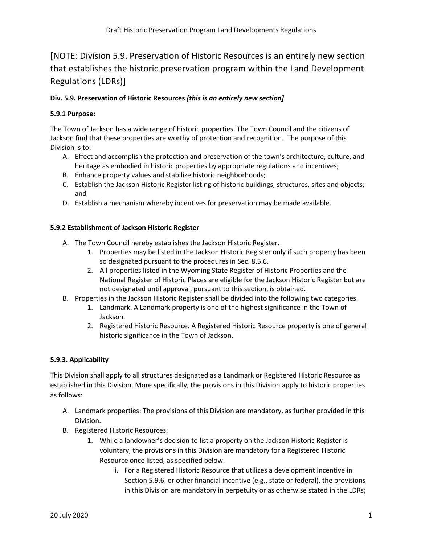# [NOTE: Division 5.9. Preservation of Historic Resources is an entirely new section that establishes the historic preservation program within the Land Development Regulations (LDRs)]

# **Div. 5.9. Preservation of Historic Resources** *[this is an entirely new section]*

# **5.9.1 Purpose:**

The Town of Jackson has a wide range of historic properties. The Town Council and the citizens of Jackson find that these properties are worthy of protection and recognition. The purpose of this Division is to:

- A. Effect and accomplish the protection and preservation of the town's architecture, culture, and heritage as embodied in historic properties by appropriate regulations and incentives;
- B. Enhance property values and stabilize historic neighborhoods;
- C. Establish the Jackson Historic Register listing of historic buildings, structures, sites and objects; and
- D. Establish a mechanism whereby incentives for preservation may be made available.

# **5.9.2 Establishment of Jackson Historic Register**

- A. The Town Council hereby establishes the Jackson Historic Register.
	- 1. Properties may be listed in the Jackson Historic Register only if such property has been so designated pursuant to the procedures in Sec. 8.5.6.
	- 2. All properties listed in the Wyoming State Register of Historic Properties and the National Register of Historic Places are eligible for the Jackson Historic Register but are not designated until approval, pursuant to this section, is obtained.
- B. Properties in the Jackson Historic Register shall be divided into the following two categories.
	- 1. Landmark. A Landmark property is one of the highest significance in the Town of Jackson.
	- 2. Registered Historic Resource. A Registered Historic Resource property is one of general historic significance in the Town of Jackson.

# **5.9.3. Applicability**

This Division shall apply to all structures designated as a Landmark or Registered Historic Resource as established in this Division. More specifically, the provisions in this Division apply to historic properties as follows:

- A. Landmark properties: The provisions of this Division are mandatory, as further provided in this Division.
- B. Registered Historic Resources:
	- 1. While a landowner's decision to list a property on the Jackson Historic Register is voluntary, the provisions in this Division are mandatory for a Registered Historic Resource once listed, as specified below.
		- i. For a Registered Historic Resource that utilizes a development incentive in Section 5.9.6. or other financial incentive (e.g., state or federal), the provisions in this Division are mandatory in perpetuity or as otherwise stated in the LDRs;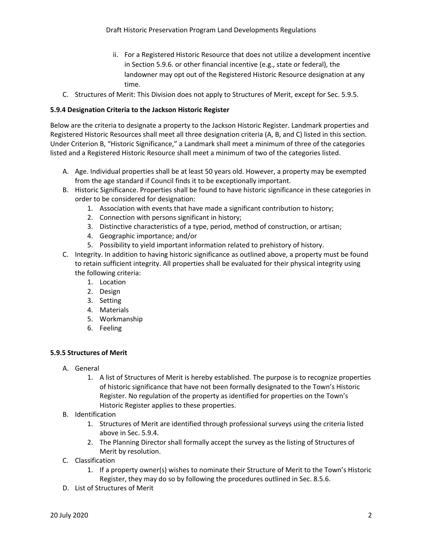- ii. For a Registered Historic Resource that does not utilize a development incentive in Section 5.9.6. or other financial incentive (e.g., state or federal), the landowner may opt out of the Registered Historic Resource designation at any time.
- C. Structures of Merit: This Division does not apply to Structures of Merit, except for Sec. 5.9.5.

## **5.9.4 Designation Criteria to the Jackson Historic Register**

Below are the criteria to designate a property to the Jackson Historic Register. Landmark properties and Registered Historic Resources shall meet all three designation criteria (A, B, and C) listed in this section. Under Criterion B, "Historic Significance," a Landmark shall meet a minimum of three of the categories listed and a Registered Historic Resource shall meet a minimum of two of the categories listed.

- A. Age. Individual properties shall be at least 50 years old. However, a property may be exempted from the age standard if Council finds it to be exceptionally important.
- B. Historic Significance. Properties shall be found to have historic significance in these categories in order to be considered for designation:
	- 1. Association with events that have made a significant contribution to history;
	- 2. Connection with persons significant in history;
	- 3. Distinctive characteristics of a type, period, method of construction, or artisan;
	- 4. Geographic importance; and/or
	- 5. Possibility to yield important information related to prehistory of history.
- C. Integrity. In addition to having historic significance as outlined above, a property must be found to retain sufficient integrity. All properties shall be evaluated for their physical integrity using the following criteria:
	- 1. Location
	- 2. Design
	- 3. Setting
	- 4. Materials
	- 5. Workmanship
	- 6. Feeling

# **5.9.5 Structures of Merit**

- A. General
	- 1. A list of Structures of Merit is hereby established. The purpose is to recognize properties of historic significance that have not been formally designated to the Town's Historic Register. No regulation of the property as identified for properties on the Town's Historic Register applies to these properties.
- B. Identification
	- 1. Structures of Merit are identified through professional surveys using the criteria listed above in Sec. 5.9.4.
	- 2. The Planning Director shall formally accept the survey as the listing of Structures of Merit by resolution.
- C. Classification
	- 1. If a property owner(s) wishes to nominate their Structure of Merit to the Town's Historic Register, they may do so by following the procedures outlined in Sec. 8.5.6.
- D. List of Structures of Merit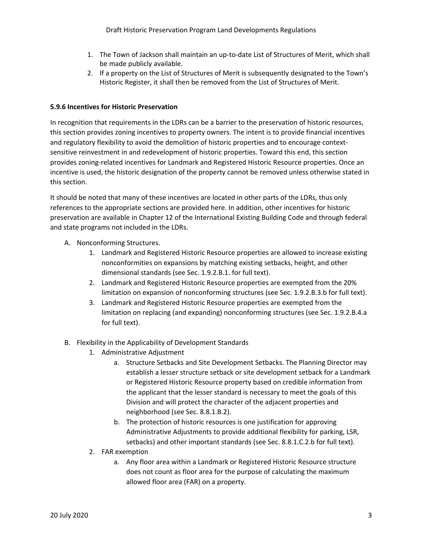- 1. The Town of Jackson shall maintain an up-to-date List of Structures of Merit, which shall be made publicly available.
- 2. If a property on the List of Structures of Merit is subsequently designated to the Town's Historic Register, it shall then be removed from the List of Structures of Merit.

# **5.9.6 Incentives for Historic Preservation**

In recognition that requirements in the LDRs can be a barrier to the preservation of historic resources, this section provides zoning incentives to property owners. The intent is to provide financial incentives and regulatory flexibility to avoid the demolition of historic properties and to encourage contextsensitive reinvestment in and redevelopment of historic properties. Toward this end, this section provides zoning-related incentives for Landmark and Registered Historic Resource properties. Once an incentive is used, the historic designation of the property cannot be removed unless otherwise stated in this section.

It should be noted that many of these incentives are located in other parts of the LDRs, thus only references to the appropriate sections are provided here. In addition, other incentives for historic preservation are available in Chapter 12 of the International Existing Building Code and through federal and state programs not included in the LDRs.

- A. Nonconforming Structures.
	- 1. Landmark and Registered Historic Resource properties are allowed to increase existing nonconformities on expansions by matching existing setbacks, height, and other dimensional standards (see Sec. 1.9.2.B.1. for full text).
	- 2. Landmark and Registered Historic Resource properties are exempted from the 20% limitation on expansion of nonconforming structures (see Sec. 1.9.2.B.3.b for full text).
	- 3. Landmark and Registered Historic Resource properties are exempted from the limitation on replacing (and expanding) nonconforming structures (see Sec. 1.9.2.B.4.a for full text).
- B. Flexibility in the Applicability of Development Standards
	- 1. Administrative Adjustment
		- a. Structure Setbacks and Site Development Setbacks. The Planning Director may establish a lesser structure setback or site development setback for a Landmark or Registered Historic Resource property based on credible information from the applicant that the lesser standard is necessary to meet the goals of this Division and will protect the character of the adjacent properties and neighborhood (see Sec. 8.8.1.B.2).
		- b. The protection of historic resources is one justification for approving Administrative Adjustments to provide additional flexibility for parking, LSR, setbacks) and other important standards (see Sec. 8.8.1.C.2.b for full text).
	- 2. FAR exemption
		- a. Any floor area within a Landmark or Registered Historic Resource structure does not count as floor area for the purpose of calculating the maximum allowed floor area (FAR) on a property.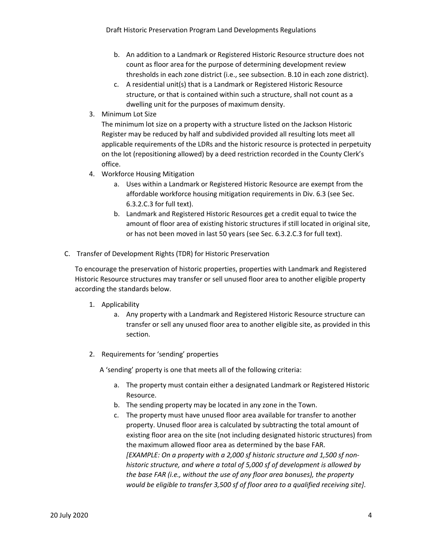- b. An addition to a Landmark or Registered Historic Resource structure does not count as floor area for the purpose of determining development review thresholds in each zone district (i.e., see subsection. B.10 in each zone district).
- c. A residential unit(s) that is a Landmark or Registered Historic Resource structure, or that is contained within such a structure, shall not count as a dwelling unit for the purposes of maximum density.
- 3. Minimum Lot Size

The minimum lot size on a property with a structure listed on the Jackson Historic Register may be reduced by half and subdivided provided all resulting lots meet all applicable requirements of the LDRs and the historic resource is protected in perpetuity on the lot (repositioning allowed) by a deed restriction recorded in the County Clerk's office.

- 4. Workforce Housing Mitigation
	- a. Uses within a Landmark or Registered Historic Resource are exempt from the affordable workforce housing mitigation requirements in Div. 6.3 (see Sec. 6.3.2.C.3 for full text).
	- b. Landmark and Registered Historic Resources get a credit equal to twice the amount of floor area of existing historic structures if still located in original site, or has not been moved in last 50 years (see Sec. 6.3.2.C.3 for full text).
- C. Transfer of Development Rights (TDR) for Historic Preservation

To encourage the preservation of historic properties, properties with Landmark and Registered Historic Resource structures may transfer or sell unused floor area to another eligible property according the standards below.

- 1. Applicability
	- a. Any property with a Landmark and Registered Historic Resource structure can transfer or sell any unused floor area to another eligible site, as provided in this section.
- 2. Requirements for 'sending' properties

A 'sending' property is one that meets all of the following criteria:

- a. The property must contain either a designated Landmark or Registered Historic Resource.
- b. The sending property may be located in any zone in the Town.
- c. The property must have unused floor area available for transfer to another property. Unused floor area is calculated by subtracting the total amount of existing floor area on the site (not including designated historic structures) from the maximum allowed floor area as determined by the base FAR. *[EXAMPLE: On a property with a 2,000 sf historic structure and 1,500 sf nonhistoric structure, and where a total of 5,000 sf of development is allowed by the base FAR (i.e., without the use of any floor area bonuses), the property would be eligible to transfer 3,500 sf of floor area to a qualified receiving site]*.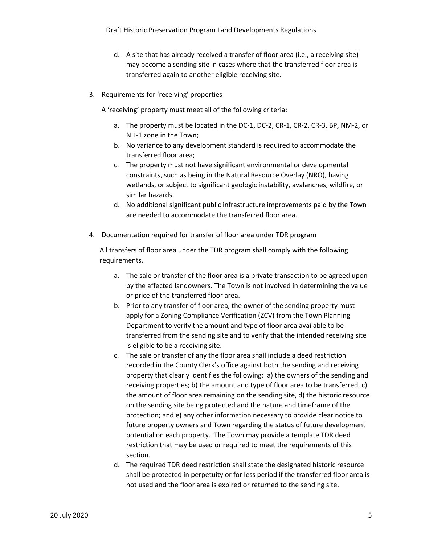- d. A site that has already received a transfer of floor area (i.e., a receiving site) may become a sending site in cases where that the transferred floor area is transferred again to another eligible receiving site.
- 3. Requirements for 'receiving' properties

A 'receiving' property must meet all of the following criteria:

- a. The property must be located in the DC-1, DC-2, CR-1, CR-2, CR-3, BP, NM-2, or NH-1 zone in the Town;
- b. No variance to any development standard is required to accommodate the transferred floor area;
- c. The property must not have significant environmental or developmental constraints, such as being in the Natural Resource Overlay (NRO), having wetlands, or subject to significant geologic instability, avalanches, wildfire, or similar hazards.
- d. No additional significant public infrastructure improvements paid by the Town are needed to accommodate the transferred floor area.
- 4. Documentation required for transfer of floor area under TDR program

All transfers of floor area under the TDR program shall comply with the following requirements.

- a. The sale or transfer of the floor area is a private transaction to be agreed upon by the affected landowners. The Town is not involved in determining the value or price of the transferred floor area.
- b. Prior to any transfer of floor area, the owner of the sending property must apply for a Zoning Compliance Verification (ZCV) from the Town Planning Department to verify the amount and type of floor area available to be transferred from the sending site and to verify that the intended receiving site is eligible to be a receiving site.
- c. The sale or transfer of any the floor area shall include a deed restriction recorded in the County Clerk's office against both the sending and receiving property that clearly identifies the following: a) the owners of the sending and receiving properties; b) the amount and type of floor area to be transferred, c) the amount of floor area remaining on the sending site, d) the historic resource on the sending site being protected and the nature and timeframe of the protection; and e) any other information necessary to provide clear notice to future property owners and Town regarding the status of future development potential on each property. The Town may provide a template TDR deed restriction that may be used or required to meet the requirements of this section.
- d. The required TDR deed restriction shall state the designated historic resource shall be protected in perpetuity or for less period if the transferred floor area is not used and the floor area is expired or returned to the sending site.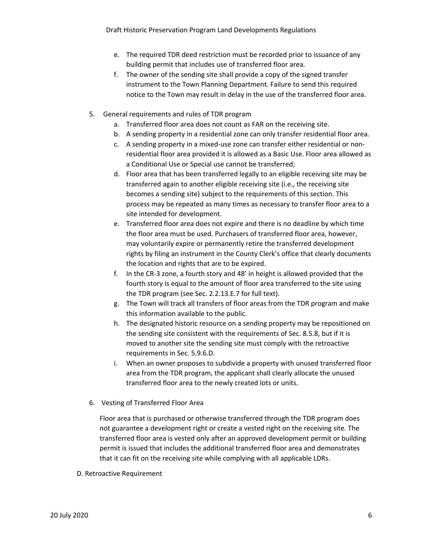- e. The required TDR deed restriction must be recorded prior to issuance of any building permit that includes use of transferred floor area.
- f. The owner of the sending site shall provide a copy of the signed transfer instrument to the Town Planning Department. Failure to send this required notice to the Town may result in delay in the use of the transferred floor area.
- 5. General requirements and rules of TDR program
	- a. Transferred floor area does not count as FAR on the receiving site.
	- b. A sending property in a residential zone can only transfer residential floor area.
	- c. A sending property in a mixed-use zone can transfer either residential or nonresidential floor area provided it is allowed as a Basic Use. Floor area allowed as a Conditional Use or Special use cannot be transferred;
	- d. Floor area that has been transferred legally to an eligible receiving site may be transferred again to another eligible receiving site (i.e., the receiving site becomes a sending site) subject to the requirements of this section. This process may be repeated as many times as necessary to transfer floor area to a site intended for development.
	- e. Transferred floor area does not expire and there is no deadline by which time the floor area must be used. Purchasers of transferred floor area, however, may voluntarily expire or permanently retire the transferred development rights by filing an instrument in the County Clerk's office that clearly documents the location and rights that are to be expired.
	- f. In the CR-3 zone, a fourth story and 48' in height is allowed provided that the fourth story is equal to the amount of floor area transferred to the site using the TDR program (see Sec. 2.2.13.E.7 for full text).
	- g. The Town will track all transfers of floor areas from the TDR program and make this information available to the public.
	- h. The designated historic resource on a sending property may be repositioned on the sending site consistent with the requirements of Sec. 8.5.8, but if it is moved to another site the sending site must comply with the retroactive requirements in Sec. 5.9.6.D.
	- i. When an owner proposes to subdivide a property with unused transferred floor area from the TDR program, the applicant shall clearly allocate the unused transferred floor area to the newly created lots or units.
- 6. Vesting of Transferred Floor Area

Floor area that is purchased or otherwise transferred through the TDR program does not guarantee a development right or create a vested right on the receiving site. The transferred floor area is vested only after an approved development permit or building permit is issued that includes the additional transferred floor area and demonstrates that it can fit on the receiving site while complying with all applicable LDRs.

D. Retroactive Requirement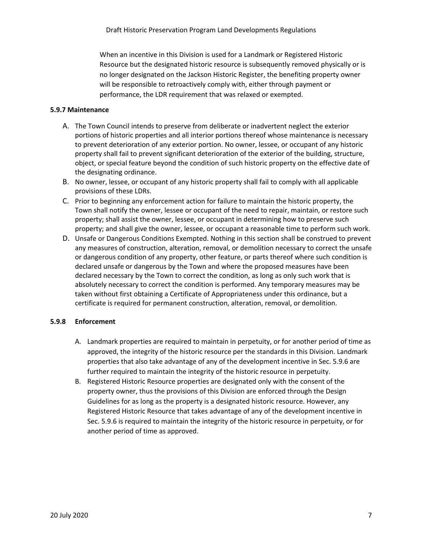When an incentive in this Division is used for a Landmark or Registered Historic Resource but the designated historic resource is subsequently removed physically or is no longer designated on the Jackson Historic Register, the benefiting property owner will be responsible to retroactively comply with, either through payment or performance, the LDR requirement that was relaxed or exempted.

## **5.9.7 Maintenance**

- A. The Town Council intends to preserve from deliberate or inadvertent neglect the exterior portions of historic properties and all interior portions thereof whose maintenance is necessary to prevent deterioration of any exterior portion. No owner, lessee, or occupant of any historic property shall fail to prevent significant deterioration of the exterior of the building, structure, object, or special feature beyond the condition of such historic property on the effective date of the designating ordinance.
- B. No owner, lessee, or occupant of any historic property shall fail to comply with all applicable provisions of these LDRs.
- C. Prior to beginning any enforcement action for failure to maintain the historic property, the Town shall notify the owner, lessee or occupant of the need to repair, maintain, or restore such property; shall assist the owner, lessee, or occupant in determining how to preserve such property; and shall give the owner, lessee, or occupant a reasonable time to perform such work.
- D. Unsafe or Dangerous Conditions Exempted. Nothing in this section shall be construed to prevent any measures of construction, alteration, removal, or demolition necessary to correct the unsafe or dangerous condition of any property, other feature, or parts thereof where such condition is declared unsafe or dangerous by the Town and where the proposed measures have been declared necessary by the Town to correct the condition, as long as only such work that is absolutely necessary to correct the condition is performed. Any temporary measures may be taken without first obtaining a Certificate of Appropriateness under this ordinance, but a certificate is required for permanent construction, alteration, removal, or demolition.

## **5.9.8 Enforcement**

- A. Landmark properties are required to maintain in perpetuity, or for another period of time as approved, the integrity of the historic resource per the standards in this Division. Landmark properties that also take advantage of any of the development incentive in Sec. 5.9.6 are further required to maintain the integrity of the historic resource in perpetuity.
- B. Registered Historic Resource properties are designated only with the consent of the property owner, thus the provisions of this Division are enforced through the Design Guidelines for as long as the property is a designated historic resource. However, any Registered Historic Resource that takes advantage of any of the development incentive in Sec. 5.9.6 is required to maintain the integrity of the historic resource in perpetuity, or for another period of time as approved.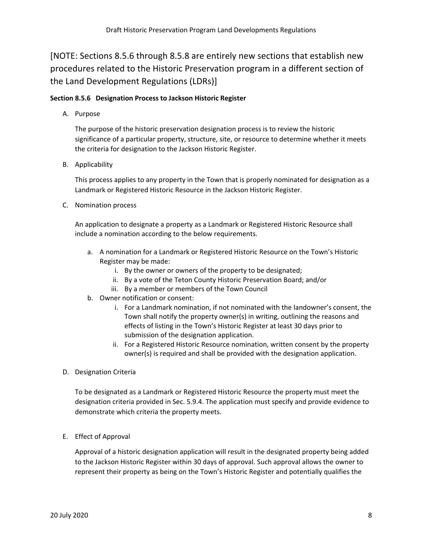[NOTE: Sections 8.5.6 through 8.5.8 are entirely new sections that establish new procedures related to the Historic Preservation program in a different section of the Land Development Regulations (LDRs)]

## **Section 8.5.6 Designation Process to Jackson Historic Register**

A. Purpose

The purpose of the historic preservation designation process is to review the historic significance of a particular property, structure, site, or resource to determine whether it meets the criteria for designation to the Jackson Historic Register.

B. Applicability

This process applies to any property in the Town that is properly nominated for designation as a Landmark or Registered Historic Resource in the Jackson Historic Register.

C. Nomination process

An application to designate a property as a Landmark or Registered Historic Resource shall include a nomination according to the below requirements.

- a. A nomination for a Landmark or Registered Historic Resource on the Town's Historic Register may be made:
	- i. By the owner or owners of the property to be designated;
	- ii. By a vote of the Teton County Historic Preservation Board; and/or
	- iii. By a member or members of the Town Council
- b. Owner notification or consent:
	- i. For a Landmark nomination, if not nominated with the landowner's consent, the Town shall notify the property owner(s) in writing, outlining the reasons and effects of listing in the Town's Historic Register at least 30 days prior to submission of the designation application.
	- ii. For a Registered Historic Resource nomination, written consent by the property owner(s) is required and shall be provided with the designation application.
- D. Designation Criteria

To be designated as a Landmark or Registered Historic Resource the property must meet the designation criteria provided in Sec. 5.9.4. The application must specify and provide evidence to demonstrate which criteria the property meets.

E. Effect of Approval

Approval of a historic designation application will result in the designated property being added to the Jackson Historic Register within 30 days of approval. Such approval allows the owner to represent their property as being on the Town's Historic Register and potentially qualifies the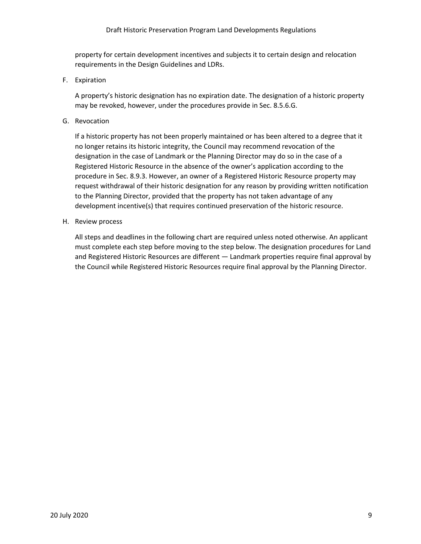property for certain development incentives and subjects it to certain design and relocation requirements in the Design Guidelines and LDRs.

F. Expiration

A property's historic designation has no expiration date. The designation of a historic property may be revoked, however, under the procedures provide in Sec. 8.5.6.G.

G. Revocation

If a historic property has not been properly maintained or has been altered to a degree that it no longer retains its historic integrity, the Council may recommend revocation of the designation in the case of Landmark or the Planning Director may do so in the case of a Registered Historic Resource in the absence of the owner's application according to the procedure in Sec. 8.9.3. However, an owner of a Registered Historic Resource property may request withdrawal of their historic designation for any reason by providing written notification to the Planning Director, provided that the property has not taken advantage of any development incentive(s) that requires continued preservation of the historic resource.

H. Review process

All steps and deadlines in the following chart are required unless noted otherwise. An applicant must complete each step before moving to the step below. The designation procedures for Land and Registered Historic Resources are different — Landmark properties require final approval by the Council while Registered Historic Resources require final approval by the Planning Director.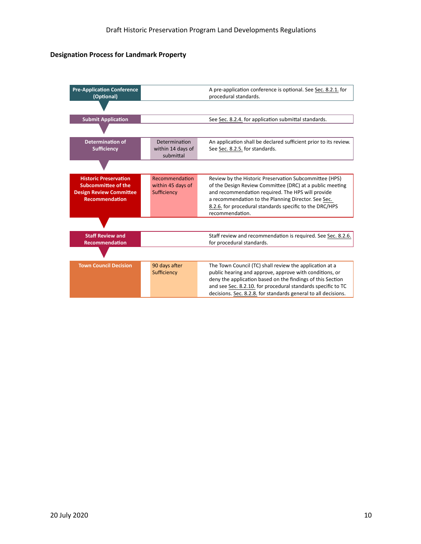## **Designation Process for Landmark Property**

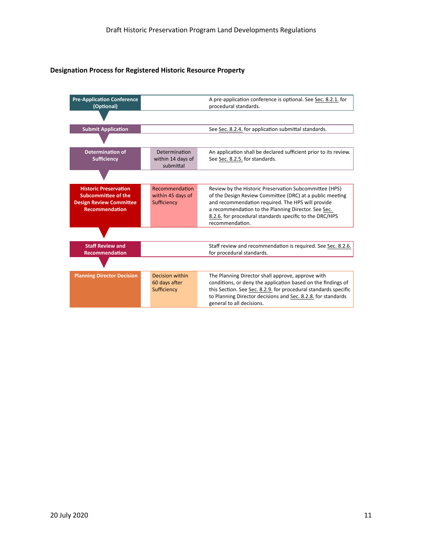#### **Designation Process for Registered Historic Resource Property**

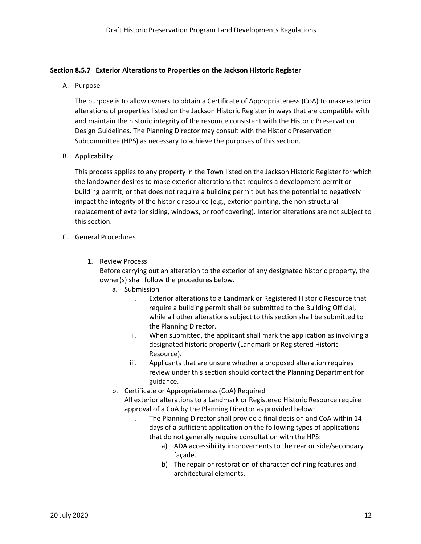## **Section 8.5.7 Exterior Alterations to Properties on the Jackson Historic Register**

A. Purpose

The purpose is to allow owners to obtain a Certificate of Appropriateness (CoA) to make exterior alterations of properties listed on the Jackson Historic Register in ways that are compatible with and maintain the historic integrity of the resource consistent with the Historic Preservation Design Guidelines. The Planning Director may consult with the Historic Preservation Subcommittee (HPS) as necessary to achieve the purposes of this section.

B. Applicability

This process applies to any property in the Town listed on the Jackson Historic Register for which the landowner desires to make exterior alterations that requires a development permit or building permit, or that does not require a building permit but has the potential to negatively impact the integrity of the historic resource (e.g., exterior painting, the non-structural replacement of exterior siding, windows, or roof covering). Interior alterations are not subject to this section.

- C. General Procedures
	- 1. Review Process

Before carrying out an alteration to the exterior of any designated historic property, the owner(s) shall follow the procedures below.

- a. Submission
	- i. Exterior alterations to a Landmark or Registered Historic Resource that require a building permit shall be submitted to the Building Official, while all other alterations subject to this section shall be submitted to the Planning Director.
	- ii. When submitted, the applicant shall mark the application as involving a designated historic property (Landmark or Registered Historic Resource).
	- iii. Applicants that are unsure whether a proposed alteration requires review under this section should contact the Planning Department for guidance.
- b. Certificate or Appropriateness (CoA) Required All exterior alterations to a Landmark or Registered Historic Resource require approval of a CoA by the Planning Director as provided below:
	- i. The Planning Director shall provide a final decision and CoA within 14 days of a sufficient application on the following types of applications that do not generally require consultation with the HPS:
		- a) ADA accessibility improvements to the rear or side/secondary façade.
		- b) The repair or restoration of character-defining features and architectural elements.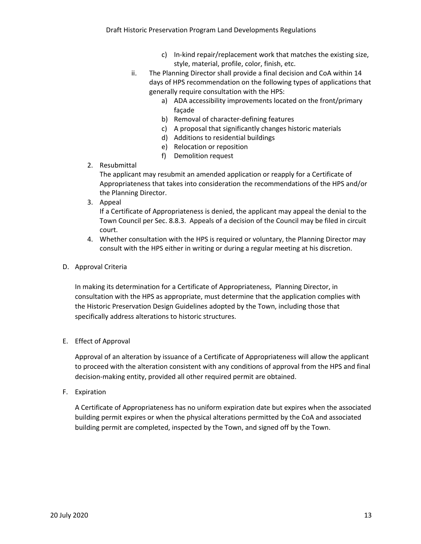- c) In-kind repair/replacement work that matches the existing size, style, material, profile, color, finish, etc.
- ii. The Planning Director shall provide a final decision and CoA within 14 days of HPS recommendation on the following types of applications that generally require consultation with the HPS:
	- a) ADA accessibility improvements located on the front/primary façade
	- b) Removal of character-defining features
	- c) A proposal that significantly changes historic materials
	- d) Additions to residential buildings
	- e) Relocation or reposition
	- f) Demolition request
- 2. Resubmittal

The applicant may resubmit an amended application or reapply for a Certificate of Appropriateness that takes into consideration the recommendations of the HPS and/or the Planning Director.

3. Appeal

If a Certificate of Appropriateness is denied, the applicant may appeal the denial to the Town Council per Sec. 8.8.3. Appeals of a decision of the Council may be filed in circuit court.

- 4. Whether consultation with the HPS is required or voluntary, the Planning Director may consult with the HPS either in writing or during a regular meeting at his discretion.
- D. Approval Criteria

In making its determination for a Certificate of Appropriateness, Planning Director, in consultation with the HPS as appropriate, must determine that the application complies with the Historic Preservation Design Guidelines adopted by the Town, including those that specifically address alterations to historic structures.

E. Effect of Approval

Approval of an alteration by issuance of a Certificate of Appropriateness will allow the applicant to proceed with the alteration consistent with any conditions of approval from the HPS and final decision-making entity, provided all other required permit are obtained.

F. Expiration

A Certificate of Appropriateness has no uniform expiration date but expires when the associated building permit expires or when the physical alterations permitted by the CoA and associated building permit are completed, inspected by the Town, and signed off by the Town.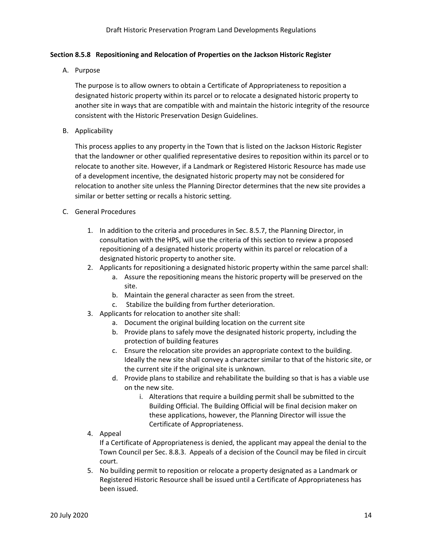## **Section 8.5.8 Repositioning and Relocation of Properties on the Jackson Historic Register**

A. Purpose

The purpose is to allow owners to obtain a Certificate of Appropriateness to reposition a designated historic property within its parcel or to relocate a designated historic property to another site in ways that are compatible with and maintain the historic integrity of the resource consistent with the Historic Preservation Design Guidelines.

B. Applicability

This process applies to any property in the Town that is listed on the Jackson Historic Register that the landowner or other qualified representative desires to reposition within its parcel or to relocate to another site. However, if a Landmark or Registered Historic Resource has made use of a development incentive, the designated historic property may not be considered for relocation to another site unless the Planning Director determines that the new site provides a similar or better setting or recalls a historic setting.

- C. General Procedures
	- 1. In addition to the criteria and procedures in Sec. 8.5.7, the Planning Director, in consultation with the HPS, will use the criteria of this section to review a proposed repositioning of a designated historic property within its parcel or relocation of a designated historic property to another site.
	- 2. Applicants for repositioning a designated historic property within the same parcel shall:
		- a. Assure the repositioning means the historic property will be preserved on the site.
		- b. Maintain the general character as seen from the street.
		- c. Stabilize the building from further deterioration.
	- 3. Applicants for relocation to another site shall:
		- a. Document the original building location on the current site
		- b. Provide plans to safely move the designated historic property, including the protection of building features
		- c. Ensure the relocation site provides an appropriate context to the building. Ideally the new site shall convey a character similar to that of the historic site, or the current site if the original site is unknown.
		- d. Provide plans to stabilize and rehabilitate the building so that is has a viable use on the new site.
			- i. Alterations that require a building permit shall be submitted to the Building Official. The Building Official will be final decision maker on these applications, however, the Planning Director will issue the Certificate of Appropriateness.
	- 4. Appeal

If a Certificate of Appropriateness is denied, the applicant may appeal the denial to the Town Council per Sec. 8.8.3. Appeals of a decision of the Council may be filed in circuit court.

5. No building permit to reposition or relocate a property designated as a Landmark or Registered Historic Resource shall be issued until a Certificate of Appropriateness has been issued.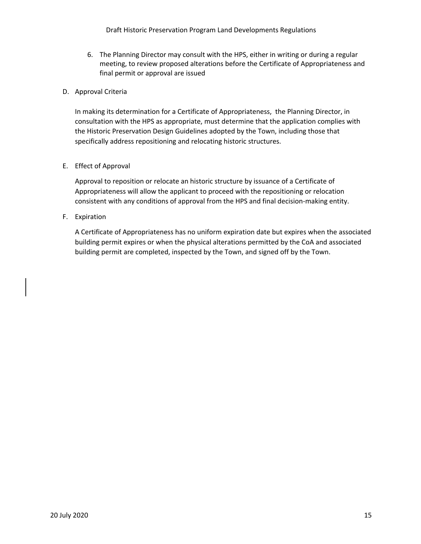Draft Historic Preservation Program Land Developments Regulations

6. The Planning Director may consult with the HPS, either in writing or during a regular meeting, to review proposed alterations before the Certificate of Appropriateness and final permit or approval are issued

#### D. Approval Criteria

In making its determination for a Certificate of Appropriateness, the Planning Director, in consultation with the HPS as appropriate, must determine that the application complies with the Historic Preservation Design Guidelines adopted by the Town, including those that specifically address repositioning and relocating historic structures.

#### E. Effect of Approval

Approval to reposition or relocate an historic structure by issuance of a Certificate of Appropriateness will allow the applicant to proceed with the repositioning or relocation consistent with any conditions of approval from the HPS and final decision-making entity.

## F. Expiration

A Certificate of Appropriateness has no uniform expiration date but expires when the associated building permit expires or when the physical alterations permitted by the CoA and associated building permit are completed, inspected by the Town, and signed off by the Town.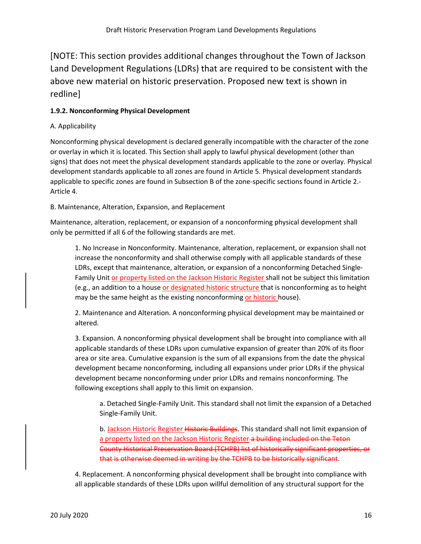[NOTE: This section provides additional changes throughout the Town of Jackson Land Development Regulations (LDRs) that are required to be consistent with the above new material on historic preservation. Proposed new text is shown in redline]

# **1.9.2. Nonconforming Physical Development**

# A. Applicability

Nonconforming physical development is declared generally incompatible with the character of the zone or overlay in which it is located. This Section shall apply to lawful physical development (other than signs) that does not meet the physical development standards applicable to the zone or overlay. Physical development standards applicable to all zones are found in Article 5. Physical development standards applicable to specific zones are found in Subsection B of the zone-specific sections found in Article 2.- Article 4.

B. Maintenance, Alteration, Expansion, and Replacement

Maintenance, alteration, replacement, or expansion of a nonconforming physical development shall only be permitted if all 6 of the following standards are met.

1. No Increase in Nonconformity. Maintenance, alteration, replacement, or expansion shall not increase the nonconformity and shall otherwise comply with all applicable standards of these LDRs, except that maintenance, alteration, or expansion of a nonconforming Detached Single-Family Unit or property listed on the Jackson Historic Register shall not be subject this limitation (e.g., an addition to a house or designated historic structure that is nonconforming as to height may be the same height as the existing nonconforming or historic house).

2. Maintenance and Alteration. A nonconforming physical development may be maintained or altered.

3. Expansion. A nonconforming physical development shall be brought into compliance with all applicable standards of these LDRs upon cumulative expansion of greater than 20% of its floor area or site area. Cumulative expansion is the sum of all expansions from the date the physical development became nonconforming, including all expansions under prior LDRs if the physical development became nonconforming under prior LDRs and remains nonconforming. The following exceptions shall apply to this limit on expansion.

a. Detached Single-Family Unit. This standard shall not limit the expansion of a Detached Single-Family Unit.

b. Jackson Historic Register Historic Buildings. This standard shall not limit expansion of a property listed on the Jackson Historic Register a building included on the Teton County Historical Preservation Board (TCHPB) list of historically significant properties, or that is otherwise deemed in writing by the TCHPB to be historically significant.

4. Replacement. A nonconforming physical development shall be brought into compliance with all applicable standards of these LDRs upon willful demolition of any structural support for the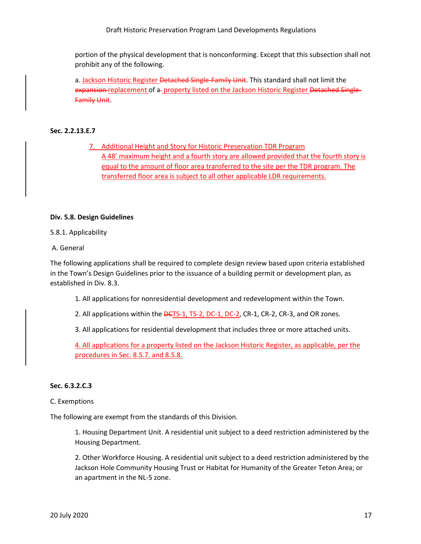Draft Historic Preservation Program Land Developments Regulations

portion of the physical development that is nonconforming. Except that this subsection shall not prohibit any of the following.

a. Jackson Historic Register Detached Single-Family Unit. This standard shall not limit the expansion replacement of a- property listed on the Jackson Historic Register Detached Single-Family Unit.

#### **Sec. 2.2.13.E.7**

7. Additional Height and Story for Historic Preservation TDR Program A 48' maximum height and a fourth story are allowed provided that the fourth story is equal to the amount of floor area transferred to the site per the TDR program. The transferred floor area is subject to all other applicable LDR requirements.

#### **Div. 5.8. Design Guidelines**

#### 5.8.1. Applicability

A. General

The following applications shall be required to complete design review based upon criteria established in the Town's Design Guidelines prior to the issuance of a building permit or development plan, as established in Div. 8.3.

1. All applications for nonresidential development and redevelopment within the Town.

2. All applications within the **DGTS-1, TS-2, DC-1, DC-2, CR-1, CR-2, CR-3**, and OR zones.

3. All applications for residential development that includes three or more attached units.

4. All applications for a property listed on the Jackson Historic Register, as applicable, per the procedures in Sec. 8.5.7. and 8.5.8.

#### **Sec. 6.3.2.C.3**

#### C. Exemptions

The following are exempt from the standards of this Division.

1. Housing Department Unit. A residential unit subject to a deed restriction administered by the Housing Department.

2. Other Workforce Housing. A residential unit subject to a deed restriction administered by the Jackson Hole Community Housing Trust or Habitat for Humanity of the Greater Teton Area; or an apartment in the NL-5 zone.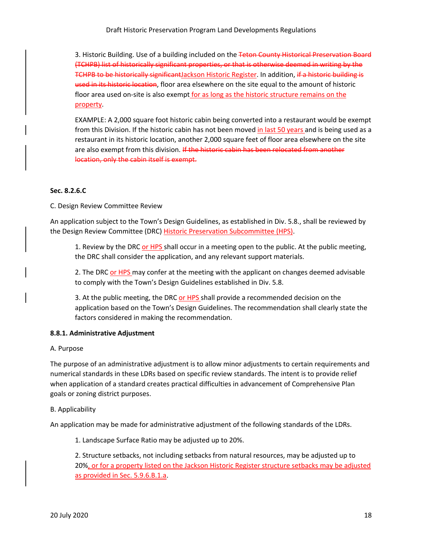3. Historic Building. Use of a building included on the Teton County Historical Preservation Board (TCHPB) list of historically significant properties, or that is otherwise deemed in writing by the TCHPB to be historically significantJackson Historic Register. In addition, if a historic building is used in its historic location, floor area elsewhere on the site equal to the amount of historic floor area used on-site is also exempt for as long as the historic structure remains on the property.

EXAMPLE: A 2,000 square foot historic cabin being converted into a restaurant would be exempt from this Division. If the historic cabin has not been moved in last 50 years and is being used as a restaurant in its historic location, another 2,000 square feet of floor area elsewhere on the site are also exempt from this division. If the historic cabin has been relocated from another location, only the cabin itself is exempt.

## **Sec. 8.2.6.C**

C. Design Review Committee Review

An application subject to the Town's Design Guidelines, as established in Div. 5.8., shall be reviewed by the Design Review Committee (DRC) Historic Preservation Subcommittee (HPS).

1. Review by the DRC or HPS shall occur in a meeting open to the public. At the public meeting, the DRC shall consider the application, and any relevant support materials.

2. The DRC or HPS may confer at the meeting with the applicant on changes deemed advisable to comply with the Town's Design Guidelines established in Div. 5.8.

3. At the public meeting, the DRC or HPS shall provide a recommended decision on the application based on the Town's Design Guidelines. The recommendation shall clearly state the factors considered in making the recommendation.

## **8.8.1. Administrative Adjustment**

#### A. Purpose

The purpose of an administrative adjustment is to allow minor adjustments to certain requirements and numerical standards in these LDRs based on specific review standards. The intent is to provide relief when application of a standard creates practical difficulties in advancement of Comprehensive Plan goals or zoning district purposes.

## B. Applicability

An application may be made for administrative adjustment of the following standards of the LDRs.

1. Landscape Surface Ratio may be adjusted up to 20%.

2. Structure setbacks, not including setbacks from natural resources, may be adjusted up to 20%, or for a property listed on the Jackson Historic Register structure setbacks may be adjusted as provided in Sec. 5.9.6.B.1.a.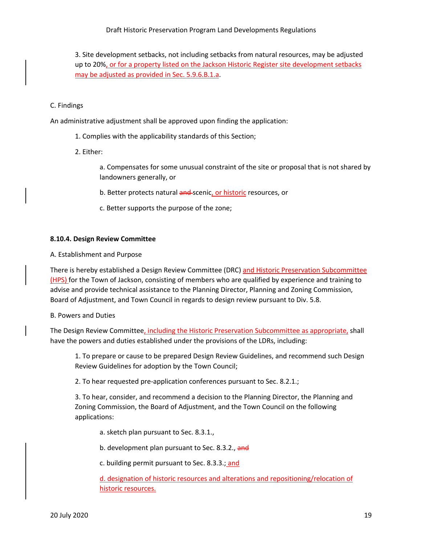Draft Historic Preservation Program Land Developments Regulations

3. Site development setbacks, not including setbacks from natural resources, may be adjusted up to 20%, or for a property listed on the Jackson Historic Register site development setbacks may be adjusted as provided in Sec. 5.9.6.B.1.a.

#### C. Findings

An administrative adjustment shall be approved upon finding the application:

- 1. Complies with the applicability standards of this Section;
- 2. Either:

a. Compensates for some unusual constraint of the site or proposal that is not shared by landowners generally, or

- b. Better protects natural and scenic, or historic resources, or
- c. Better supports the purpose of the zone;

#### **8.10.4. Design Review Committee**

A. Establishment and Purpose

There is hereby established a Design Review Committee (DRC) and Historic Preservation Subcommittee (HPS) for the Town of Jackson, consisting of members who are qualified by experience and training to advise and provide technical assistance to the Planning Director, Planning and Zoning Commission, Board of Adjustment, and Town Council in regards to design review pursuant to Div. 5.8.

B. Powers and Duties

The Design Review Committee, including the Historic Preservation Subcommittee as appropriate, shall have the powers and duties established under the provisions of the LDRs, including:

1. To prepare or cause to be prepared Design Review Guidelines, and recommend such Design Review Guidelines for adoption by the Town Council;

2. To hear requested pre-application conferences pursuant to Sec. 8.2.1.;

3. To hear, consider, and recommend a decision to the Planning Director, the Planning and Zoning Commission, the Board of Adjustment, and the Town Council on the following applications:

a. sketch plan pursuant to Sec. 8.3.1.,

b. development plan pursuant to Sec. 8.3.2., and

c. building permit pursuant to Sec. 8.3.3.; and

d. designation of historic resources and alterations and repositioning/relocation of historic resources.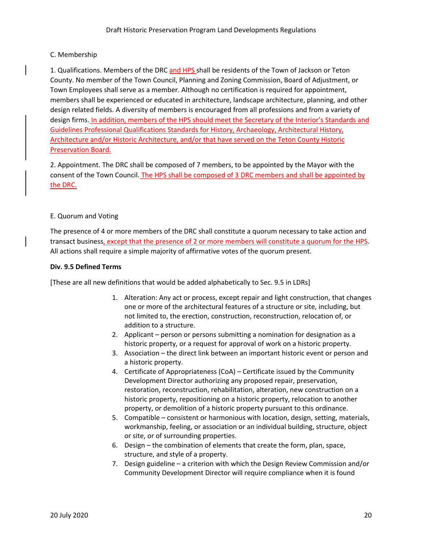## C. Membership

1. Qualifications. Members of the DRC and HPS shall be residents of the Town of Jackson or Teton County. No member of the Town Council, Planning and Zoning Commission, Board of Adjustment, or Town Employees shall serve as a member. Although no certification is required for appointment, members shall be experienced or educated in architecture, landscape architecture, planning, and other design related fields. A diversity of members is encouraged from all professions and from a variety of design firms. In addition, members of the HPS should meet the Secretary of the Interior's Standards and Guidelines Professional Qualifications Standards for History, Archaeology, Architectural History, Architecture and/or Historic Architecture, and/or that have served on the Teton County Historic Preservation Board.

2. Appointment. The DRC shall be composed of 7 members, to be appointed by the Mayor with the consent of the Town Council. The HPS shall be composed of 3 DRC members and shall be appointed by the DRC.

## E. Quorum and Voting

The presence of 4 or more members of the DRC shall constitute a quorum necessary to take action and transact business, except that the presence of 2 or more members will constitute a quorum for the HPS. All actions shall require a simple majority of affirmative votes of the quorum present.

## **Div. 9.5 Defined Terms**

[These are all new definitions that would be added alphabetically to Sec. 9.5 in LDRs]

- 1. Alteration: Any act or process, except repair and light construction, that changes one or more of the architectural features of a structure or site, including, but not limited to, the erection, construction, reconstruction, relocation of, or addition to a structure.
- 2. Applicant person or persons submitting a nomination for designation as a historic property, or a request for approval of work on a historic property.
- 3. Association the direct link between an important historic event or person and a historic property.
- 4. Certificate of Appropriateness (CoA) Certificate issued by the Community Development Director authorizing any proposed repair, preservation, restoration, reconstruction, rehabilitation, alteration, new construction on a historic property, repositioning on a historic property, relocation to another property, or demolition of a historic property pursuant to this ordinance.
- 5. Compatible consistent or harmonious with location, design, setting, materials, workmanship, feeling, or association or an individual building, structure, object or site, or of surrounding properties.
- 6. Design the combination of elements that create the form, plan, space, structure, and style of a property.
- 7. Design guideline a criterion with which the Design Review Commission and/or Community Development Director will require compliance when it is found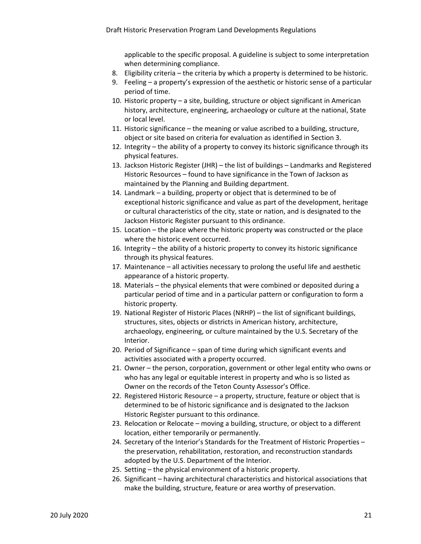applicable to the specific proposal. A guideline is subject to some interpretation when determining compliance.

- 8. Eligibility criteria the criteria by which a property is determined to be historic.
- 9. Feeling a property's expression of the aesthetic or historic sense of a particular period of time.
- 10. Historic property a site, building, structure or object significant in American history, architecture, engineering, archaeology or culture at the national, State or local level.
- 11. Historic significance the meaning or value ascribed to a building, structure, object or site based on criteria for evaluation as identified in Section 3.
- 12. Integrity the ability of a property to convey its historic significance through its physical features.
- 13. Jackson Historic Register (JHR) the list of buildings Landmarks and Registered Historic Resources – found to have significance in the Town of Jackson as maintained by the Planning and Building department.
- 14. Landmark a building, property or object that is determined to be of exceptional historic significance and value as part of the development, heritage or cultural characteristics of the city, state or nation, and is designated to the Jackson Historic Register pursuant to this ordinance.
- 15. Location the place where the historic property was constructed or the place where the historic event occurred.
- 16. Integrity the ability of a historic property to convey its historic significance through its physical features.
- 17. Maintenance all activities necessary to prolong the useful life and aesthetic appearance of a historic property.
- 18. Materials the physical elements that were combined or deposited during a particular period of time and in a particular pattern or configuration to form a historic property.
- 19. National Register of Historic Places (NRHP) the list of significant buildings, structures, sites, objects or districts in American history, architecture, archaeology, engineering, or culture maintained by the U.S. Secretary of the Interior.
- 20. Period of Significance span of time during which significant events and activities associated with a property occurred.
- 21. Owner the person, corporation, government or other legal entity who owns or who has any legal or equitable interest in property and who is so listed as Owner on the records of the Teton County Assessor's Office.
- 22. Registered Historic Resource a property, structure, feature or object that is determined to be of historic significance and is designated to the Jackson Historic Register pursuant to this ordinance.
- 23. Relocation or Relocate moving a building, structure, or object to a different location, either temporarily or permanently.
- 24. Secretary of the Interior's Standards for the Treatment of Historic Properties the preservation, rehabilitation, restoration, and reconstruction standards adopted by the U.S. Department of the Interior.
- 25. Setting the physical environment of a historic property.
- 26. Significant having architectural characteristics and historical associations that make the building, structure, feature or area worthy of preservation.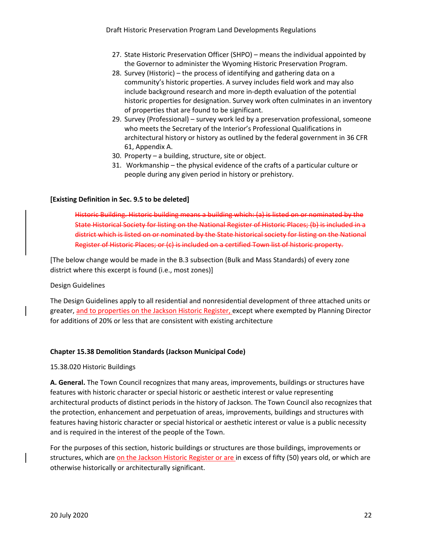- 27. State Historic Preservation Officer (SHPO) means the individual appointed by the Governor to administer the Wyoming Historic Preservation Program.
- 28. Survey (Historic) the process of identifying and gathering data on a community's historic properties. A survey includes field work and may also include background research and more in-depth evaluation of the potential historic properties for designation. Survey work often culminates in an inventory of properties that are found to be significant.
- 29. Survey (Professional) survey work led by a preservation professional, someone who meets the Secretary of the Interior's Professional Qualifications in architectural history or history as outlined by the federal government in 36 CFR 61, Appendix A.
- 30. Property a building, structure, site or object.
- 31. Workmanship the physical evidence of the crafts of a particular culture or people during any given period in history or prehistory.

#### **[Existing Definition in Sec. 9.5 to be deleted]**

Historic Building. Historic building means a building which: (a) is listed on or nominated by the State Historical Society for listing on the National Register of Historic Places; (b) is included in a district which is listed on or nominated by the State historical society for listing on the National Register of Historic Places; or (c) is included on a certified Town list of historic property.

[The below change would be made in the B.3 subsection (Bulk and Mass Standards) of every zone district where this excerpt is found (i.e., most zones)]

#### Design Guidelines

The Design Guidelines apply to all residential and nonresidential development of three attached units or greater, and to properties on the Jackson Historic Register, except where exempted by Planning Director for additions of 20% or less that are consistent with existing architecture

#### **Chapter 15.38 Demolition Standards (Jackson Municipal Code)**

15.38.020 Historic Buildings

**A. General.** The Town Council recognizes that many areas, improvements, buildings or structures have features with historic character or special historic or aesthetic interest or value representing architectural products of distinct periods in the history of Jackson. The Town Council also recognizes that the protection, enhancement and perpetuation of areas, improvements, buildings and structures with features having historic character or special historical or aesthetic interest or value is a public necessity and is required in the interest of the people of the Town.

For the purposes of this section, historic buildings or structures are those buildings, improvements or structures, which are on the Jackson Historic Register or are in excess of fifty (50) years old, or which are otherwise historically or architecturally significant.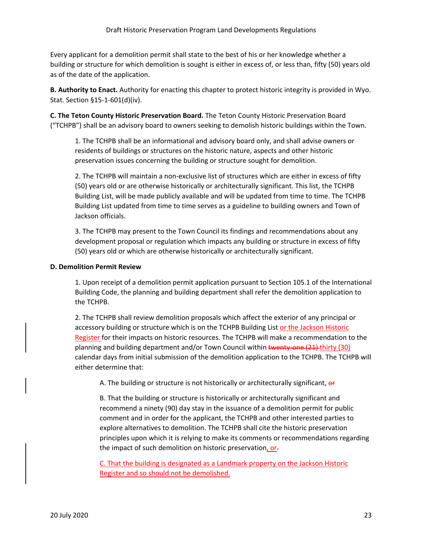Every applicant for a demolition permit shall state to the best of his or her knowledge whether a building or structure for which demolition is sought is either in excess of, or less than, fifty (50) years old as of the date of the application.

**B. Authority to Enact.** Authority for enacting this chapter to protect historic integrity is provided in Wyo. Stat. Section §15-1-601(d)(iv).

**C. The Teton County Historic Preservation Board.** The Teton County Historic Preservation Board ("TCHPB") shall be an advisory board to owners seeking to demolish historic buildings within the Town.

1. The TCHPB shall be an informational and advisory board only, and shall advise owners or residents of buildings or structures on the historic nature, aspects and other historic preservation issues concerning the building or structure sought for demolition.

2. The TCHPB will maintain a non-exclusive list of structures which are either in excess of fifty (50) years old or are otherwise historically or architecturally significant. This list, the TCHPB Building List, will be made publicly available and will be updated from time to time. The TCHPB Building List updated from time to time serves as a guideline to building owners and Town of Jackson officials.

3. The TCHPB may present to the Town Council its findings and recommendations about any development proposal or regulation which impacts any building or structure in excess of fifty (50) years old or which are otherwise historically or architecturally significant.

## **D. Demolition Permit Review**

1. Upon receipt of a demolition permit application pursuant to Section 105.1 of the International Building Code, the planning and building department shall refer the demolition application to the TCHPB.

2. The TCHPB shall review demolition proposals which affect the exterior of any principal or accessory building or structure which is on the TCHPB Building List or the Jackson Historic Register for their impacts on historic resources. The TCHPB will make a recommendation to the planning and building department and/or Town Council within twenty-one (21) thirty (30) calendar days from initial submission of the demolition application to the TCHPB. The TCHPB will either determine that:

A. The building or structure is not historically or architecturally significant, or

B. That the building or structure is historically or architecturally significant and recommend a ninety (90) day stay in the issuance of a demolition permit for public comment and in order for the applicant, the TCHPB and other interested parties to explore alternatives to demolition. The TCHPB shall cite the historic preservation principles upon which it is relying to make its comments or recommendations regarding the impact of such demolition on historic preservation, or-

C. That the building is designated as a Landmark property on the Jackson Historic Register and so should not be demolished.